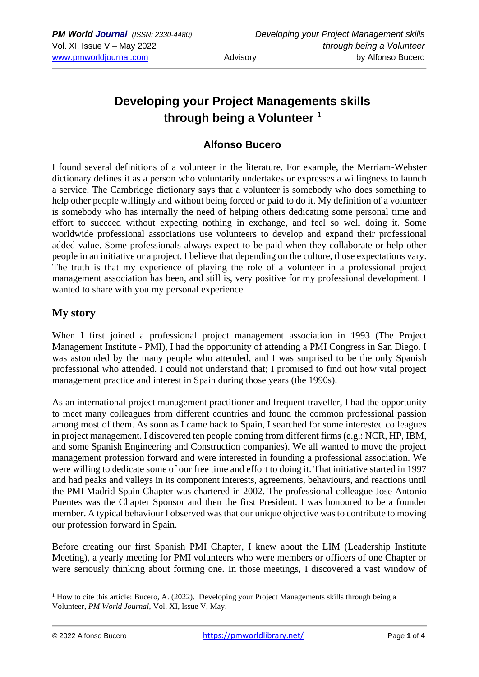# **Developing your Project Managements skills through being a Volunteer <sup>1</sup>**

## **Alfonso Bucero**

I found several definitions of a volunteer in the literature. For example, the Merriam-Webster dictionary defines it as a person who [voluntarily](https://www.merriam-webster.com/dictionary/voluntarily) undertakes or expresses a willingness to launch a service. The Cambridge dictionary says that a volunteer is somebody who does something to help other people willingly and without being [forced](https://dictionary.cambridge.org/fr/dictionnaire/anglais/forced) or [paid](https://dictionary.cambridge.org/fr/dictionnaire/anglais/paid) to do it. My definition of a volunteer is somebody who has internally the need of helping others dedicating some personal time and effort to succeed without expecting nothing in exchange, and feel so well doing it. Some worldwide professional associations use volunteers to develop and expand their professional added value. Some professionals always expect to be paid when they collaborate or help other people in an initiative or a project. I believe that depending on the culture, those expectations vary. The truth is that my experience of playing the role of a volunteer in a professional project management association has been, and still is, very positive for my professional development. I wanted to share with you my personal experience.

## **My story**

When I first joined a professional project management association in 1993 (The Project Management Institute - PMI), I had the opportunity of attending a PMI Congress in San Diego. I was astounded by the many people who attended, and I was surprised to be the only Spanish professional who attended. I could not understand that; I promised to find out how vital project management practice and interest in Spain during those years (the 1990s).

As an international project management practitioner and frequent traveller, I had the opportunity to meet many colleagues from different countries and found the common professional passion among most of them. As soon as I came back to Spain, I searched for some interested colleagues in project management. I discovered ten people coming from different firms (e.g.: NCR, HP, IBM, and some Spanish Engineering and Construction companies). We all wanted to move the project management profession forward and were interested in founding a professional association. We were willing to dedicate some of our free time and effort to doing it. That initiative started in 1997 and had peaks and valleys in its component interests, agreements, behaviours, and reactions until the PMI Madrid Spain Chapter was chartered in 2002. The professional colleague Jose Antonio Puentes was the Chapter Sponsor and then the first President. I was honoured to be a founder member. A typical behaviour I observed was that our unique objective was to contribute to moving our profession forward in Spain.

Before creating our first Spanish PMI Chapter, I knew about the LIM (Leadership Institute Meeting), a yearly meeting for PMI volunteers who were members or officers of one Chapter or were seriously thinking about forming one. In those meetings, I discovered a vast window of

<sup>&</sup>lt;sup>1</sup> How to cite this article: Bucero, A. (2022). Developing your Project Managements skills through being a Volunteer, *PM World Journal*, Vol. XI, Issue V, May.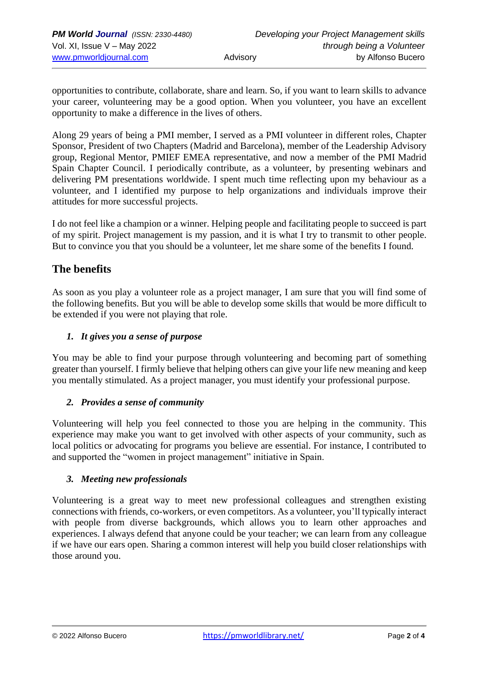opportunities to contribute, collaborate, share and learn. So, if you want to learn skills to advance your career, volunteering may be a good option. When you volunteer, you have an excellent opportunity to make a difference in the lives of others.

Along 29 years of being a PMI member, I served as a PMI volunteer in different roles, Chapter Sponsor, President of two Chapters (Madrid and Barcelona), member of the Leadership Advisory group, Regional Mentor, PMIEF EMEA representative, and now a member of the PMI Madrid Spain Chapter Council. I periodically contribute, as a volunteer, by presenting webinars and delivering PM presentations worldwide. I spent much time reflecting upon my behaviour as a volunteer, and I identified my purpose to help organizations and individuals improve their attitudes for more successful projects.

I do not feel like a champion or a winner. Helping people and facilitating people to succeed is part of my spirit. Project management is my passion, and it is what I try to transmit to other people. But to convince you that you should be a volunteer, let me share some of the benefits I found.

# **The benefits**

As soon as you play a volunteer role as a project manager, I am sure that you will find some of the following benefits. But you will be able to develop some skills that would be more difficult to be extended if you were not playing that role.

#### *1. It gives you a sense of purpose*

You may be able to find your purpose through volunteering and becoming part of something greater than yourself. I firmly believe that helping others can give your life new meaning and keep you mentally stimulated. As a project manager, you must identify your professional purpose.

#### *2. Provides a sense of community*

Volunteering will help you feel connected to those you are helping in the community. This experience may make you want to get involved with other aspects of your community, such as local politics or advocating for programs you believe are essential. For instance, I contributed to and supported the "women in project management" initiative in Spain.

#### *3. Meeting new professionals*

Volunteering is a great way to meet new professional colleagues and strengthen existing connections with friends, co-workers, or even competitors. As a volunteer, you'll typically interact with people from diverse backgrounds, which allows you to learn other approaches and experiences. I always defend that anyone could be your teacher; we can learn from any colleague if we have our ears open. Sharing a common interest will help you build closer relationships with those around you.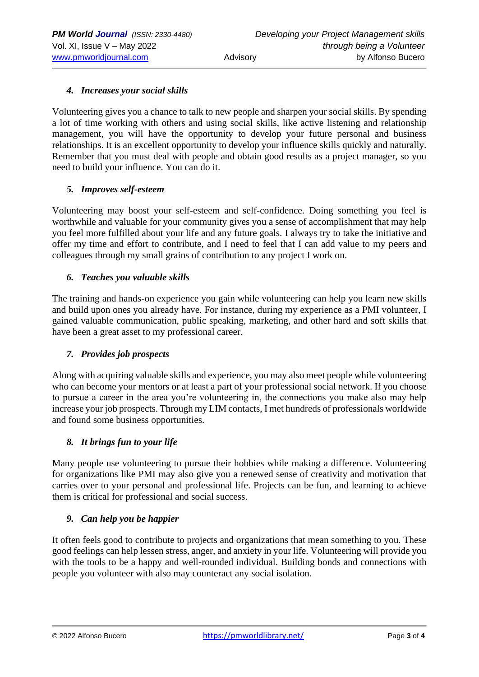#### *4. Increases your social skills*

Volunteering gives you a chance to talk to new people and sharpen your social skills. By spending a lot of time working with others and using social skills, like active listening and relationship management, you will have the opportunity to develop your future personal and business relationships. It is an excellent opportunity to develop your influence skills quickly and naturally. Remember that you must deal with people and obtain good results as a project manager, so you need to build your influence. You can do it.

#### *5. Improves self-esteem*

Volunteering may boost your self-esteem and self-confidence. Doing something you feel is worthwhile and valuable for your community gives you a sense of accomplishment that may help you feel more fulfilled about your life and any future goals*.* I always try to take the initiative and offer my time and effort to contribute, and I need to feel that I can add value to my peers and colleagues through my small grains of contribution to any project I work on.

#### *6. Teaches you valuable skills*

The training and hands-on experience you gain while volunteering can help you learn new skills and build upon ones you already have. For instance, during my experience as a PMI volunteer, I gained valuable communication, public speaking, marketing, and other hard and soft skills that have been a great asset to my professional career.

#### *7. Provides job prospects*

Along with acquiring valuable skills and experience, you may also meet people while volunteering who can become your mentors or at least a part of your professional social network. If you choose to pursue a career in the area you're volunteering in, the connections you make also may help increase your job prospects. Through my LIM contacts, I met hundreds of professionals worldwide and found some business opportunities.

#### *8. It brings fun to your life*

Many people use volunteering to pursue their hobbies while making a difference. Volunteering for organizations like PMI may also give you a renewed sense of creativity and motivation that carries over to your personal and professional life. Projects can be fun, and learning to achieve them is critical for professional and social success.

#### *9. Can help you be happier*

It often feels good to contribute to projects and organizations that mean something to you. These good feelings can help lessen stress, anger, and anxiety in your life. Volunteering will provide you with the tools to be a happy and well-rounded individual. Building bonds and connections with people you volunteer with also may counteract any social isolation.